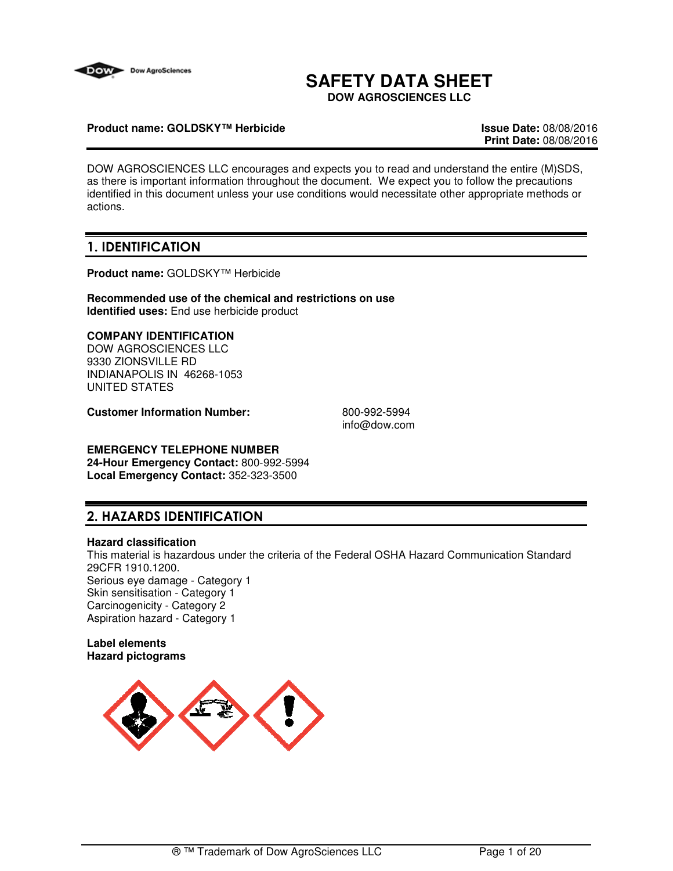

# **SAFETY DATA SHEET**

**DOW AGROSCIENCES LLC**

## **Product name: GOLDSKY™ Herbicide Issue Date:** 08/08/2016

**Print Date:** 08/08/2016

DOW AGROSCIENCES LLC encourages and expects you to read and understand the entire (M)SDS, as there is important information throughout the document. We expect you to follow the precautions identified in this document unless your use conditions would necessitate other appropriate methods or actions.

## **1. IDENTIFICATION**

**Product name:** GOLDSKY™ Herbicide

**Recommended use of the chemical and restrictions on use Identified uses:** End use herbicide product

## **COMPANY IDENTIFICATION**

DOW AGROSCIENCES LLC 9330 ZIONSVILLE RD INDIANAPOLIS IN 46268-1053 UNITED STATES

**Customer Information Number:** 800-992-5994

info@dow.com

## **EMERGENCY TELEPHONE NUMBER**

**24-Hour Emergency Contact:** 800-992-5994 **Local Emergency Contact:** 352-323-3500

## **2. HAZARDS IDENTIFICATION**

## **Hazard classification**

This material is hazardous under the criteria of the Federal OSHA Hazard Communication Standard 29CFR 1910.1200. Serious eye damage - Category 1 Skin sensitisation - Category 1 Carcinogenicity - Category 2 Aspiration hazard - Category 1

## **Label elements Hazard pictograms**

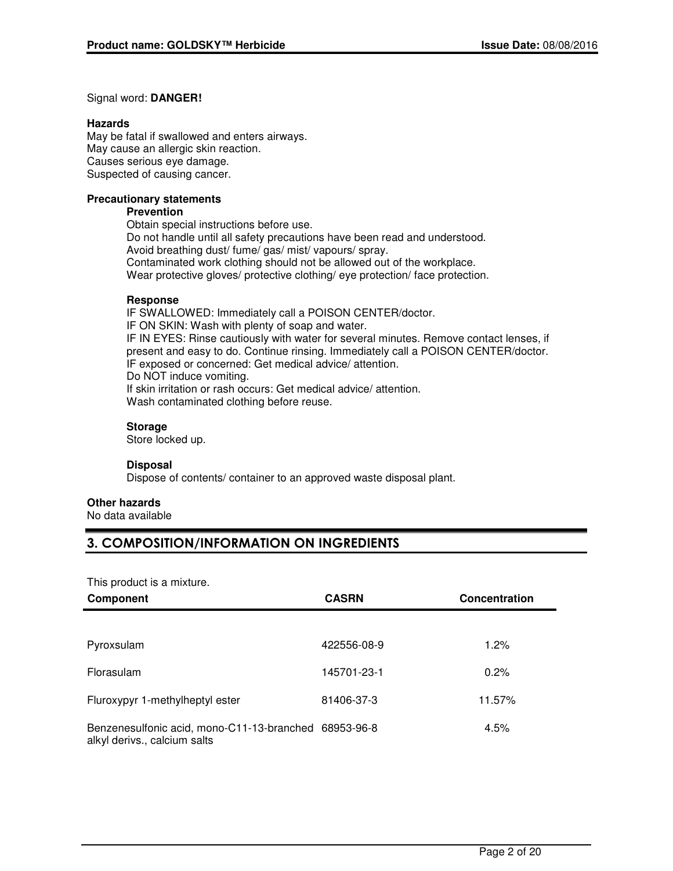## Signal word: **DANGER!**

## **Hazards**

May be fatal if swallowed and enters airways. May cause an allergic skin reaction. Causes serious eye damage. Suspected of causing cancer.

## **Precautionary statements**

## **Prevention**

Obtain special instructions before use. Do not handle until all safety precautions have been read and understood. Avoid breathing dust/ fume/ gas/ mist/ vapours/ spray. Contaminated work clothing should not be allowed out of the workplace. Wear protective gloves/ protective clothing/ eye protection/ face protection.

## **Response**

IF SWALLOWED: Immediately call a POISON CENTER/doctor. IF ON SKIN: Wash with plenty of soap and water. IF IN EYES: Rinse cautiously with water for several minutes. Remove contact lenses, if present and easy to do. Continue rinsing. Immediately call a POISON CENTER/doctor. IF exposed or concerned: Get medical advice/ attention. Do NOT induce vomiting. If skin irritation or rash occurs: Get medical advice/ attention. Wash contaminated clothing before reuse.

## **Storage**

Store locked up.

## **Disposal**

Dispose of contents/ container to an approved waste disposal plant.

## **Other hazards**

No data available

## **3. COMPOSITION/INFORMATION ON INGREDIENTS**

This product is a mixture.

| Component                                                                             | <b>CASRN</b> | <b>Concentration</b> |
|---------------------------------------------------------------------------------------|--------------|----------------------|
|                                                                                       |              |                      |
| Pyroxsulam                                                                            | 422556-08-9  | 1.2%                 |
| Florasulam                                                                            | 145701-23-1  | 0.2%                 |
| Fluroxypyr 1-methylheptyl ester                                                       | 81406-37-3   | 11.57%               |
| Benzenesulfonic acid, mono-C11-13-branched 68953-96-8<br>alkyl derivs., calcium salts |              | 4.5%                 |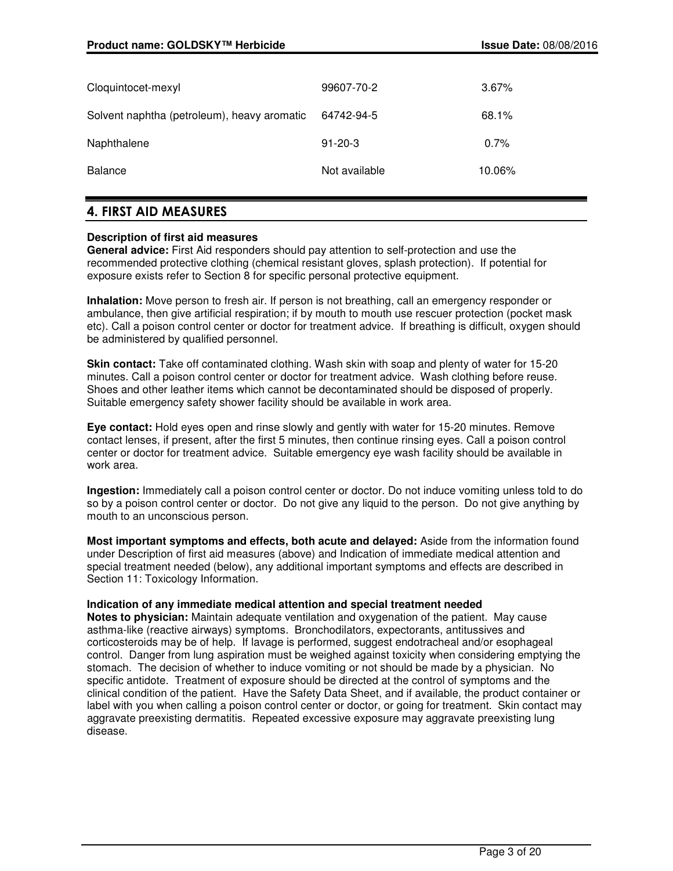| Cloquintocet-mexyl                          | 99607-70-2    | 3.67%  |
|---------------------------------------------|---------------|--------|
| Solvent naphtha (petroleum), heavy aromatic | 64742-94-5    | 68.1%  |
| Naphthalene                                 | $91 - 20 - 3$ | 0.7%   |
| <b>Balance</b>                              | Not available | 10.06% |

## **4. FIRST AID MEASURES**

## **Description of first aid measures**

**General advice:** First Aid responders should pay attention to self-protection and use the recommended protective clothing (chemical resistant gloves, splash protection). If potential for exposure exists refer to Section 8 for specific personal protective equipment.

**Inhalation:** Move person to fresh air. If person is not breathing, call an emergency responder or ambulance, then give artificial respiration; if by mouth to mouth use rescuer protection (pocket mask etc). Call a poison control center or doctor for treatment advice. If breathing is difficult, oxygen should be administered by qualified personnel.

**Skin contact:** Take off contaminated clothing. Wash skin with soap and plenty of water for 15-20 minutes. Call a poison control center or doctor for treatment advice. Wash clothing before reuse. Shoes and other leather items which cannot be decontaminated should be disposed of properly. Suitable emergency safety shower facility should be available in work area.

**Eye contact:** Hold eyes open and rinse slowly and gently with water for 15-20 minutes. Remove contact lenses, if present, after the first 5 minutes, then continue rinsing eyes. Call a poison control center or doctor for treatment advice. Suitable emergency eye wash facility should be available in work area.

**Ingestion:** Immediately call a poison control center or doctor. Do not induce vomiting unless told to do so by a poison control center or doctor. Do not give any liquid to the person. Do not give anything by mouth to an unconscious person.

**Most important symptoms and effects, both acute and delayed:** Aside from the information found under Description of first aid measures (above) and Indication of immediate medical attention and special treatment needed (below), any additional important symptoms and effects are described in Section 11: Toxicology Information.

## **Indication of any immediate medical attention and special treatment needed**

**Notes to physician:** Maintain adequate ventilation and oxygenation of the patient. May cause asthma-like (reactive airways) symptoms. Bronchodilators, expectorants, antitussives and corticosteroids may be of help. If lavage is performed, suggest endotracheal and/or esophageal control. Danger from lung aspiration must be weighed against toxicity when considering emptying the stomach. The decision of whether to induce vomiting or not should be made by a physician. No specific antidote. Treatment of exposure should be directed at the control of symptoms and the clinical condition of the patient. Have the Safety Data Sheet, and if available, the product container or label with you when calling a poison control center or doctor, or going for treatment. Skin contact may aggravate preexisting dermatitis. Repeated excessive exposure may aggravate preexisting lung disease.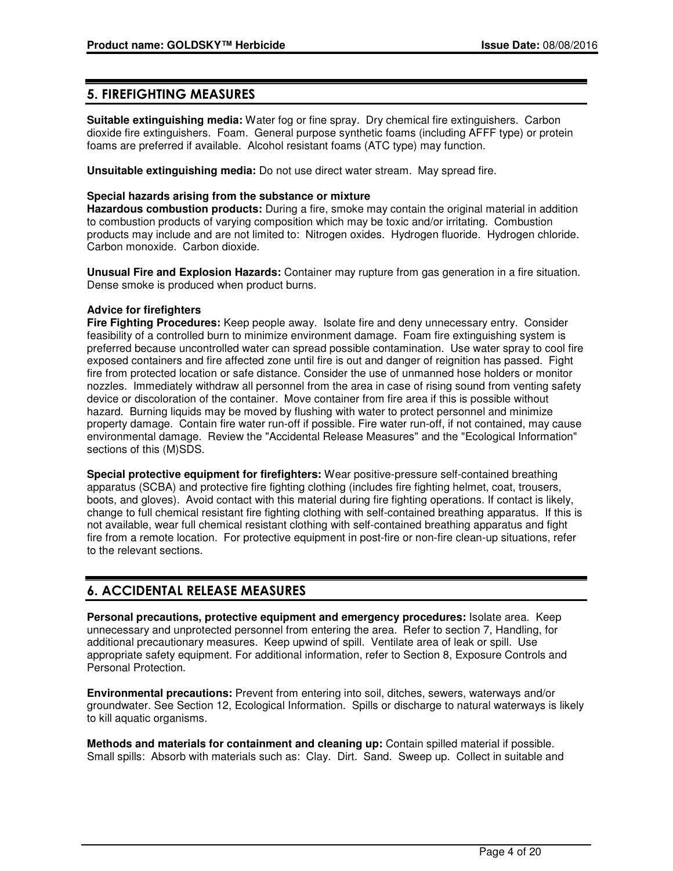## **5. FIREFIGHTING MEASURES**

**Suitable extinguishing media:** Water fog or fine spray. Dry chemical fire extinguishers. Carbon dioxide fire extinguishers. Foam. General purpose synthetic foams (including AFFF type) or protein foams are preferred if available. Alcohol resistant foams (ATC type) may function.

**Unsuitable extinguishing media:** Do not use direct water stream. May spread fire.

## **Special hazards arising from the substance or mixture**

**Hazardous combustion products:** During a fire, smoke may contain the original material in addition to combustion products of varying composition which may be toxic and/or irritating. Combustion products may include and are not limited to: Nitrogen oxides. Hydrogen fluoride. Hydrogen chloride. Carbon monoxide. Carbon dioxide.

**Unusual Fire and Explosion Hazards:** Container may rupture from gas generation in a fire situation. Dense smoke is produced when product burns.

## **Advice for firefighters**

**Fire Fighting Procedures:** Keep people away. Isolate fire and deny unnecessary entry. Consider feasibility of a controlled burn to minimize environment damage. Foam fire extinguishing system is preferred because uncontrolled water can spread possible contamination. Use water spray to cool fire exposed containers and fire affected zone until fire is out and danger of reignition has passed. Fight fire from protected location or safe distance. Consider the use of unmanned hose holders or monitor nozzles. Immediately withdraw all personnel from the area in case of rising sound from venting safety device or discoloration of the container. Move container from fire area if this is possible without hazard. Burning liquids may be moved by flushing with water to protect personnel and minimize property damage. Contain fire water run-off if possible. Fire water run-off, if not contained, may cause environmental damage. Review the "Accidental Release Measures" and the "Ecological Information" sections of this (M)SDS.

**Special protective equipment for firefighters:** Wear positive-pressure self-contained breathing apparatus (SCBA) and protective fire fighting clothing (includes fire fighting helmet, coat, trousers, boots, and gloves). Avoid contact with this material during fire fighting operations. If contact is likely, change to full chemical resistant fire fighting clothing with self-contained breathing apparatus. If this is not available, wear full chemical resistant clothing with self-contained breathing apparatus and fight fire from a remote location. For protective equipment in post-fire or non-fire clean-up situations, refer to the relevant sections.

## **6. ACCIDENTAL RELEASE MEASURES**

**Personal precautions, protective equipment and emergency procedures:** Isolate area. Keep unnecessary and unprotected personnel from entering the area. Refer to section 7, Handling, for additional precautionary measures. Keep upwind of spill. Ventilate area of leak or spill. Use appropriate safety equipment. For additional information, refer to Section 8, Exposure Controls and Personal Protection.

**Environmental precautions:** Prevent from entering into soil, ditches, sewers, waterways and/or groundwater. See Section 12, Ecological Information. Spills or discharge to natural waterways is likely to kill aquatic organisms.

**Methods and materials for containment and cleaning up:** Contain spilled material if possible. Small spills: Absorb with materials such as: Clay. Dirt. Sand. Sweep up. Collect in suitable and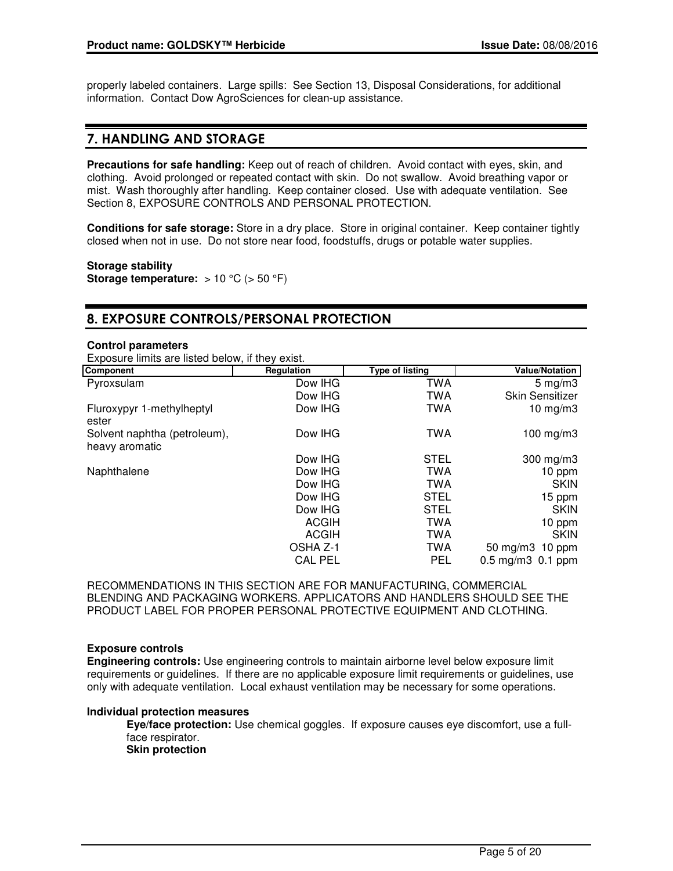properly labeled containers. Large spills: See Section 13, Disposal Considerations, for additional information. Contact Dow AgroSciences for clean-up assistance.

## **7. HANDLING AND STORAGE**

**Precautions for safe handling:** Keep out of reach of children. Avoid contact with eyes, skin, and clothing. Avoid prolonged or repeated contact with skin. Do not swallow. Avoid breathing vapor or mist. Wash thoroughly after handling. Keep container closed. Use with adequate ventilation. See Section 8, EXPOSURE CONTROLS AND PERSONAL PROTECTION.

**Conditions for safe storage:** Store in a dry place. Store in original container. Keep container tightly closed when not in use. Do not store near food, foodstuffs, drugs or potable water supplies.

**Storage stability Storage temperature:** > 10 °C (> 50 °F)

## **8. EXPOSURE CONTROLS/PERSONAL PROTECTION**

## **Control parameters**

Exposure limits are listed below, if they exist.

| Component                                      | Regulation     | <b>Type of listing</b> | <b>Value/Notation</b>         |
|------------------------------------------------|----------------|------------------------|-------------------------------|
| Pyroxsulam                                     | Dow IHG        | TWA                    | $5 \,\mathrm{mg/m}$           |
|                                                | Dow IHG        | <b>TWA</b>             | <b>Skin Sensitizer</b>        |
| Fluroxypyr 1-methylheptyl<br>ester             | Dow IHG        | <b>TWA</b>             | 10 $mg/m3$                    |
| Solvent naphtha (petroleum),<br>heavy aromatic | Dow IHG        | <b>TWA</b>             | 100 mg/m $3$                  |
|                                                | Dow IHG        | <b>STEL</b>            | $300$ mg/m $3$                |
| Naphthalene                                    | Dow IHG        | <b>TWA</b>             | 10 ppm                        |
|                                                | Dow IHG        | <b>TWA</b>             | <b>SKIN</b>                   |
|                                                | Dow IHG        | <b>STEL</b>            | 15 ppm                        |
|                                                | Dow IHG        | <b>STEL</b>            | <b>SKIN</b>                   |
|                                                | <b>ACGIH</b>   | <b>TWA</b>             | 10 ppm                        |
|                                                | <b>ACGIH</b>   | <b>TWA</b>             | <b>SKIN</b>                   |
|                                                | OSHA Z-1       | TWA                    | 50 mg/m3 10 ppm               |
|                                                | <b>CAL PEL</b> | <b>PEL</b>             | $0.5 \,\mathrm{mg/m}$ 0.1 ppm |

RECOMMENDATIONS IN THIS SECTION ARE FOR MANUFACTURING, COMMERCIAL BLENDING AND PACKAGING WORKERS. APPLICATORS AND HANDLERS SHOULD SEE THE PRODUCT LABEL FOR PROPER PERSONAL PROTECTIVE EQUIPMENT AND CLOTHING.

## **Exposure controls**

**Engineering controls:** Use engineering controls to maintain airborne level below exposure limit requirements or guidelines. If there are no applicable exposure limit requirements or guidelines, use only with adequate ventilation. Local exhaust ventilation may be necessary for some operations.

## **Individual protection measures**

**Eye/face protection:** Use chemical goggles. If exposure causes eye discomfort, use a fullface respirator.

**Skin protection**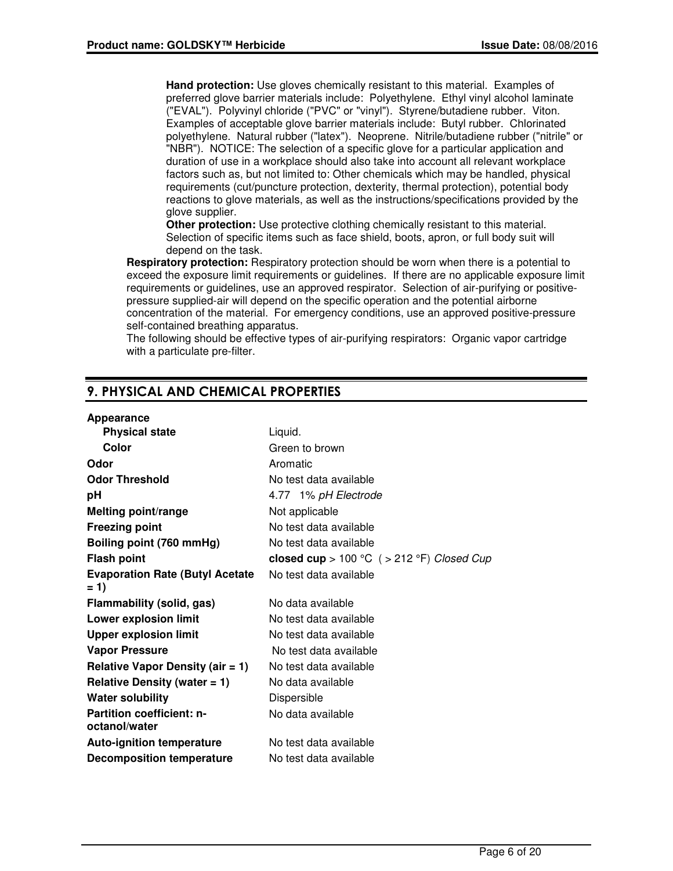**Hand protection:** Use gloves chemically resistant to this material. Examples of preferred glove barrier materials include: Polyethylene. Ethyl vinyl alcohol laminate ("EVAL"). Polyvinyl chloride ("PVC" or "vinyl"). Styrene/butadiene rubber. Viton. Examples of acceptable glove barrier materials include: Butyl rubber. Chlorinated polyethylene. Natural rubber ("latex"). Neoprene. Nitrile/butadiene rubber ("nitrile" or "NBR"). NOTICE: The selection of a specific glove for a particular application and duration of use in a workplace should also take into account all relevant workplace factors such as, but not limited to: Other chemicals which may be handled, physical requirements (cut/puncture protection, dexterity, thermal protection), potential body reactions to glove materials, as well as the instructions/specifications provided by the glove supplier.

**Other protection:** Use protective clothing chemically resistant to this material. Selection of specific items such as face shield, boots, apron, or full body suit will depend on the task.

**Respiratory protection:** Respiratory protection should be worn when there is a potential to exceed the exposure limit requirements or guidelines. If there are no applicable exposure limit requirements or guidelines, use an approved respirator. Selection of air-purifying or positivepressure supplied-air will depend on the specific operation and the potential airborne concentration of the material. For emergency conditions, use an approved positive-pressure self-contained breathing apparatus.

The following should be effective types of air-purifying respirators: Organic vapor cartridge with a particulate pre-filter.

## **9. PHYSICAL AND CHEMICAL PROPERTIES**

## **Appearance**

| <b>Physical state</b>                             | Liquid.                                      |
|---------------------------------------------------|----------------------------------------------|
| Color                                             | Green to brown                               |
| Odor                                              | Aromatic                                     |
| <b>Odor Threshold</b>                             | No test data available                       |
| рH                                                | 4.77 1% pH Electrode                         |
| <b>Melting point/range</b>                        | Not applicable                               |
| <b>Freezing point</b>                             | No test data available                       |
| Boiling point (760 mmHg)                          | No test data available                       |
| <b>Flash point</b>                                | closed cup > 100 °C $($ > 212 °F) Closed Cup |
| <b>Evaporation Rate (Butyl Acetate</b><br>$= 1$   | No test data available                       |
| Flammability (solid, gas)                         | No data available                            |
| Lower explosion limit                             | No test data available                       |
| <b>Upper explosion limit</b>                      | No test data available                       |
| <b>Vapor Pressure</b>                             | No test data available                       |
| <b>Relative Vapor Density (air = 1)</b>           | No test data available                       |
| Relative Density (water $= 1$ )                   | No data available                            |
| <b>Water solubility</b>                           | Dispersible                                  |
| <b>Partition coefficient: n-</b><br>octanol/water | No data available                            |
| <b>Auto-ignition temperature</b>                  | No test data available                       |
| <b>Decomposition temperature</b>                  | No test data available                       |
|                                                   |                                              |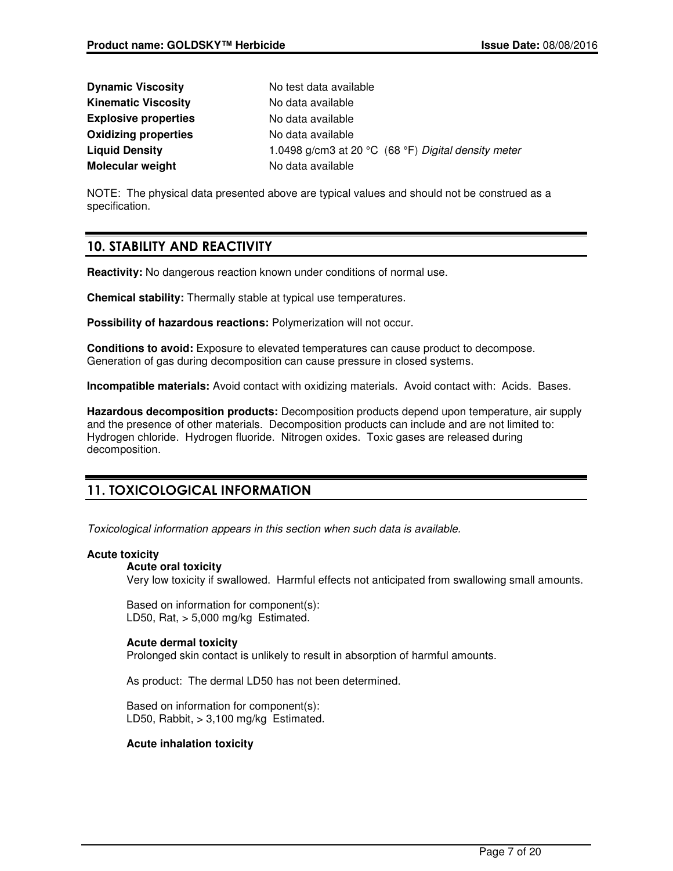| <b>Dynamic Viscosity</b>    | No test data available                              |
|-----------------------------|-----------------------------------------------------|
| <b>Kinematic Viscosity</b>  | No data available                                   |
| <b>Explosive properties</b> | No data available                                   |
| <b>Oxidizing properties</b> | No data available                                   |
| <b>Liquid Density</b>       | 1.0498 g/cm3 at 20 °C (68 °F) Digital density meter |
| <b>Molecular weight</b>     | No data available                                   |

NOTE: The physical data presented above are typical values and should not be construed as a specification.

## **10. STABILITY AND REACTIVITY**

**Reactivity:** No dangerous reaction known under conditions of normal use.

**Chemical stability:** Thermally stable at typical use temperatures.

**Possibility of hazardous reactions:** Polymerization will not occur.

**Conditions to avoid:** Exposure to elevated temperatures can cause product to decompose. Generation of gas during decomposition can cause pressure in closed systems.

**Incompatible materials:** Avoid contact with oxidizing materials. Avoid contact with: Acids. Bases.

**Hazardous decomposition products:** Decomposition products depend upon temperature, air supply and the presence of other materials. Decomposition products can include and are not limited to: Hydrogen chloride. Hydrogen fluoride. Nitrogen oxides. Toxic gases are released during decomposition.

## **11. TOXICOLOGICAL INFORMATION**

Toxicological information appears in this section when such data is available.

## **Acute toxicity**

## **Acute oral toxicity**

Very low toxicity if swallowed. Harmful effects not anticipated from swallowing small amounts.

Based on information for component(s): LD50, Rat,  $> 5,000$  mg/kg Estimated.

## **Acute dermal toxicity**

Prolonged skin contact is unlikely to result in absorption of harmful amounts.

As product: The dermal LD50 has not been determined.

Based on information for component(s): LD50, Rabbit, > 3,100 mg/kg Estimated.

## **Acute inhalation toxicity**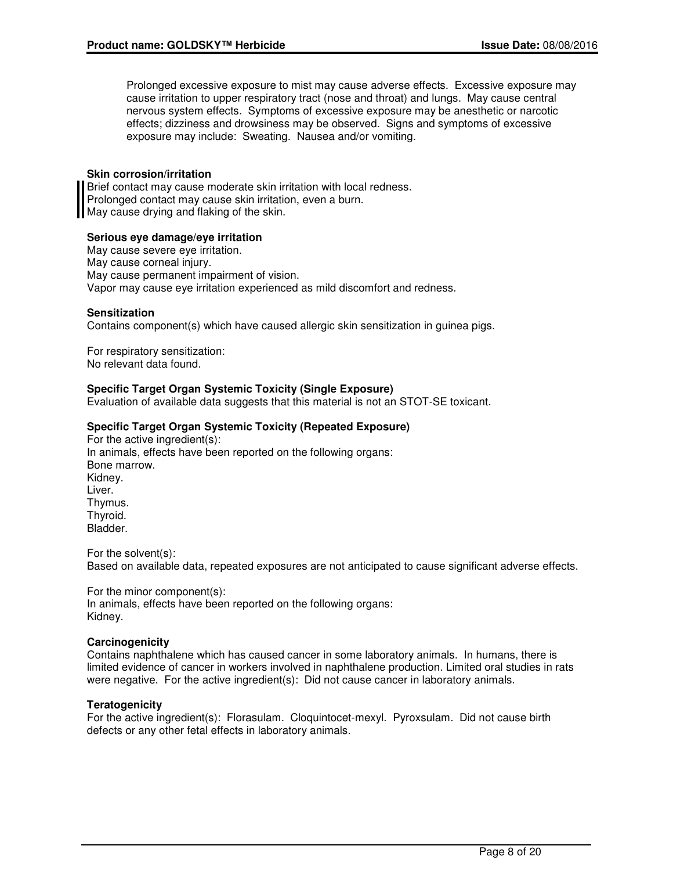Prolonged excessive exposure to mist may cause adverse effects. Excessive exposure may cause irritation to upper respiratory tract (nose and throat) and lungs. May cause central nervous system effects. Symptoms of excessive exposure may be anesthetic or narcotic effects; dizziness and drowsiness may be observed. Signs and symptoms of excessive exposure may include: Sweating. Nausea and/or vomiting.

#### **Skin corrosion/irritation**

Brief contact may cause moderate skin irritation with local redness. Prolonged contact may cause skin irritation, even a burn. May cause drying and flaking of the skin.

## **Serious eye damage/eye irritation**

May cause severe eye irritation. May cause corneal injury. May cause permanent impairment of vision. Vapor may cause eye irritation experienced as mild discomfort and redness.

#### **Sensitization**

Contains component(s) which have caused allergic skin sensitization in guinea pigs.

For respiratory sensitization: No relevant data found.

## **Specific Target Organ Systemic Toxicity (Single Exposure)**

Evaluation of available data suggests that this material is not an STOT-SE toxicant.

#### **Specific Target Organ Systemic Toxicity (Repeated Exposure)**

For the active ingredient(s): In animals, effects have been reported on the following organs: Bone marrow. Kidney. Liver. Thymus. Thyroid. Bladder.

For the solvent(s): Based on available data, repeated exposures are not anticipated to cause significant adverse effects.

For the minor component(s): In animals, effects have been reported on the following organs: Kidney.

#### **Carcinogenicity**

Contains naphthalene which has caused cancer in some laboratory animals. In humans, there is limited evidence of cancer in workers involved in naphthalene production. Limited oral studies in rats were negative. For the active ingredient(s): Did not cause cancer in laboratory animals.

## **Teratogenicity**

For the active ingredient(s): Florasulam. Cloquintocet-mexyl. Pyroxsulam. Did not cause birth defects or any other fetal effects in laboratory animals.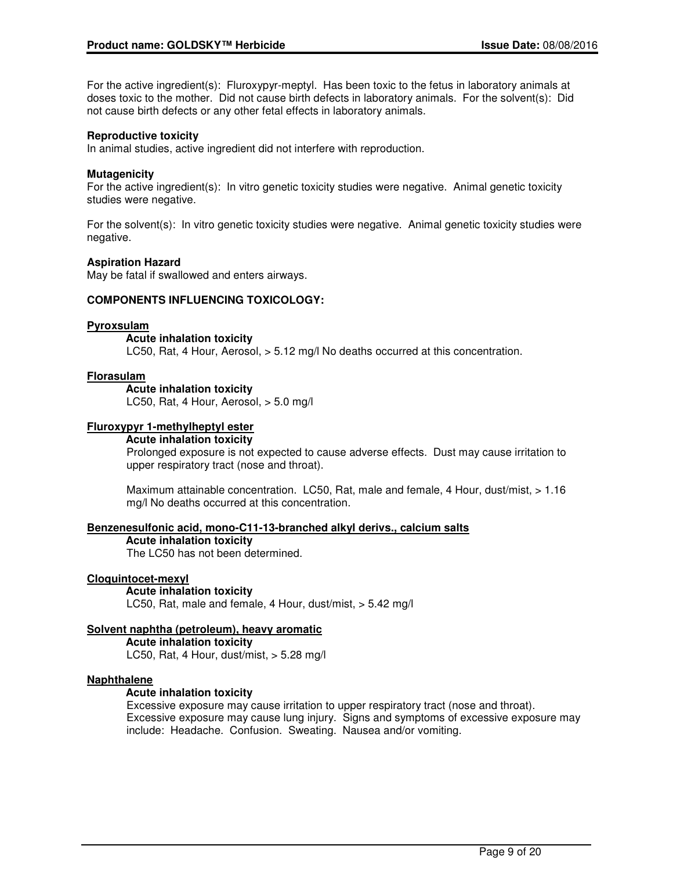For the active ingredient(s): Fluroxypyr-meptyl. Has been toxic to the fetus in laboratory animals at doses toxic to the mother. Did not cause birth defects in laboratory animals. For the solvent(s): Did not cause birth defects or any other fetal effects in laboratory animals.

## **Reproductive toxicity**

In animal studies, active ingredient did not interfere with reproduction.

## **Mutagenicity**

For the active ingredient(s): In vitro genetic toxicity studies were negative. Animal genetic toxicity studies were negative.

For the solvent(s): In vitro genetic toxicity studies were negative. Animal genetic toxicity studies were negative.

## **Aspiration Hazard**

May be fatal if swallowed and enters airways.

## **COMPONENTS INFLUENCING TOXICOLOGY:**

## **Pyroxsulam**

**Acute inhalation toxicity**

LC50, Rat, 4 Hour, Aerosol, > 5.12 mg/l No deaths occurred at this concentration.

## **Florasulam**

**Acute inhalation toxicity**

LC50, Rat, 4 Hour, Aerosol, > 5.0 mg/l

## **Fluroxypyr 1-methylheptyl ester**

**Acute inhalation toxicity**

Prolonged exposure is not expected to cause adverse effects. Dust may cause irritation to upper respiratory tract (nose and throat).

Maximum attainable concentration. LC50, Rat, male and female, 4 Hour, dust/mist, > 1.16 mg/l No deaths occurred at this concentration.

## **Benzenesulfonic acid, mono-C11-13-branched alkyl derivs., calcium salts**

**Acute inhalation toxicity**

The LC50 has not been determined.

## **Cloquintocet-mexyl**

#### **Acute inhalation toxicity**

LC50, Rat, male and female, 4 Hour, dust/mist, > 5.42 mg/l

## **Solvent naphtha (petroleum), heavy aromatic**

**Acute inhalation toxicity** LC50, Rat, 4 Hour, dust/mist,  $> 5.28$  mg/l

## **Naphthalene**

## **Acute inhalation toxicity**

Excessive exposure may cause irritation to upper respiratory tract (nose and throat). Excessive exposure may cause lung injury. Signs and symptoms of excessive exposure may include: Headache. Confusion. Sweating. Nausea and/or vomiting.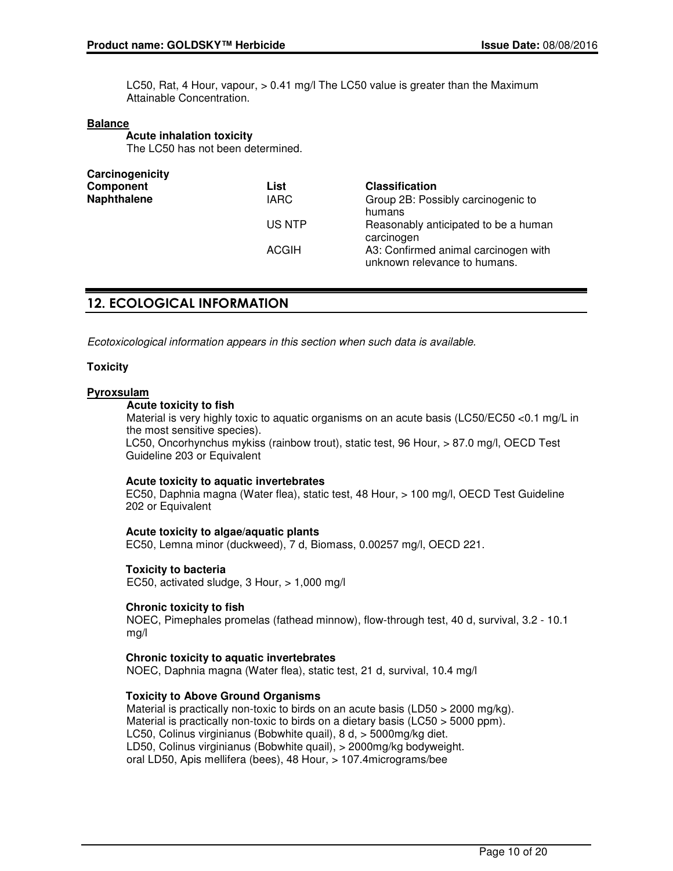LC50, Rat, 4 Hour, vapour, > 0.41 mg/l The LC50 value is greater than the Maximum Attainable Concentration.

## **Balance**

**Acute inhalation toxicity** The LC50 has not been determined.

| Carcinogenicity    |              |                                                                      |
|--------------------|--------------|----------------------------------------------------------------------|
| Component          | List         | <b>Classification</b>                                                |
| <b>Naphthalene</b> | <b>IARC</b>  | Group 2B: Possibly carcinogenic to<br>humans                         |
|                    | US NTP       | Reasonably anticipated to be a human<br>carcinogen                   |
|                    | <b>ACGIH</b> | A3: Confirmed animal carcinogen with<br>unknown relevance to humans. |

## **12. ECOLOGICAL INFORMATION**

Ecotoxicological information appears in this section when such data is available.

## **Toxicity**

## **Pyroxsulam**

## **Acute toxicity to fish**

Material is very highly toxic to aquatic organisms on an acute basis (LC50/EC50 <0.1 mg/L in the most sensitive species).

LC50, Oncorhynchus mykiss (rainbow trout), static test, 96 Hour, > 87.0 mg/l, OECD Test Guideline 203 or Equivalent

## **Acute toxicity to aquatic invertebrates**

EC50, Daphnia magna (Water flea), static test, 48 Hour, > 100 mg/l, OECD Test Guideline 202 or Equivalent

## **Acute toxicity to algae/aquatic plants**

EC50, Lemna minor (duckweed), 7 d, Biomass, 0.00257 mg/l, OECD 221.

## **Toxicity to bacteria**

EC50, activated sludge, 3 Hour, > 1,000 mg/l

## **Chronic toxicity to fish**

NOEC, Pimephales promelas (fathead minnow), flow-through test, 40 d, survival, 3.2 - 10.1 mg/l

## **Chronic toxicity to aquatic invertebrates**

NOEC, Daphnia magna (Water flea), static test, 21 d, survival, 10.4 mg/l

## **Toxicity to Above Ground Organisms**

Material is practically non-toxic to birds on an acute basis (LD50 > 2000 mg/kg). Material is practically non-toxic to birds on a dietary basis (LC50 > 5000 ppm). LC50, Colinus virginianus (Bobwhite quail), 8 d, > 5000mg/kg diet. LD50, Colinus virginianus (Bobwhite quail), > 2000mg/kg bodyweight. oral LD50, Apis mellifera (bees), 48 Hour, > 107.4micrograms/bee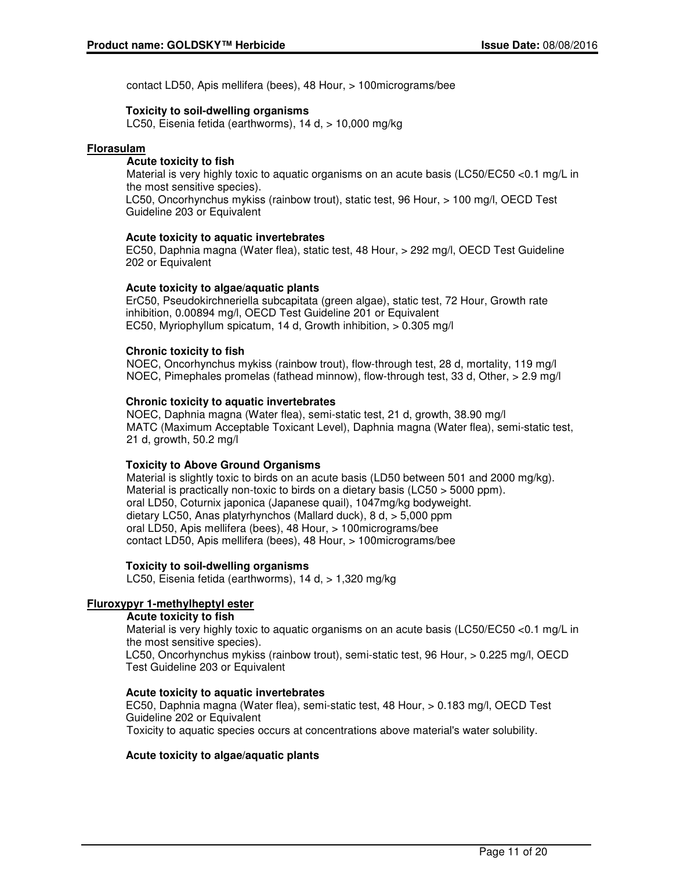contact LD50, Apis mellifera (bees), 48 Hour, > 100micrograms/bee

## **Toxicity to soil-dwelling organisms**

LC50, Eisenia fetida (earthworms), 14 d, > 10,000 mg/kg

## **Florasulam**

## **Acute toxicity to fish**

Material is very highly toxic to aquatic organisms on an acute basis (LC50/EC50 <0.1 mg/L in the most sensitive species).

LC50, Oncorhynchus mykiss (rainbow trout), static test, 96 Hour, > 100 mg/l, OECD Test Guideline 203 or Equivalent

## **Acute toxicity to aquatic invertebrates**

EC50, Daphnia magna (Water flea), static test, 48 Hour, > 292 mg/l, OECD Test Guideline 202 or Equivalent

## **Acute toxicity to algae/aquatic plants**

ErC50, Pseudokirchneriella subcapitata (green algae), static test, 72 Hour, Growth rate inhibition, 0.00894 mg/l, OECD Test Guideline 201 or Equivalent EC50, Myriophyllum spicatum, 14 d, Growth inhibition, > 0.305 mg/l

## **Chronic toxicity to fish**

NOEC, Oncorhynchus mykiss (rainbow trout), flow-through test, 28 d, mortality, 119 mg/l NOEC, Pimephales promelas (fathead minnow), flow-through test, 33 d, Other, > 2.9 mg/l

## **Chronic toxicity to aquatic invertebrates**

NOEC, Daphnia magna (Water flea), semi-static test, 21 d, growth, 38.90 mg/l MATC (Maximum Acceptable Toxicant Level), Daphnia magna (Water flea), semi-static test, 21 d, growth, 50.2 mg/l

## **Toxicity to Above Ground Organisms**

Material is slightly toxic to birds on an acute basis (LD50 between 501 and 2000 mg/kg). Material is practically non-toxic to birds on a dietary basis (LC50 > 5000 ppm). oral LD50, Coturnix japonica (Japanese quail), 1047mg/kg bodyweight. dietary LC50, Anas platyrhynchos (Mallard duck), 8 d, > 5,000 ppm oral LD50, Apis mellifera (bees), 48 Hour, > 100micrograms/bee contact LD50, Apis mellifera (bees), 48 Hour, > 100micrograms/bee

## **Toxicity to soil-dwelling organisms**

LC50, Eisenia fetida (earthworms), 14 d, > 1,320 mg/kg

## **Fluroxypyr 1-methylheptyl ester**

## **Acute toxicity to fish**

Material is very highly toxic to aquatic organisms on an acute basis (LC50/EC50 <0.1 mg/L in the most sensitive species).

LC50, Oncorhynchus mykiss (rainbow trout), semi-static test, 96 Hour, > 0.225 mg/l, OECD Test Guideline 203 or Equivalent

## **Acute toxicity to aquatic invertebrates**

EC50, Daphnia magna (Water flea), semi-static test, 48 Hour, > 0.183 mg/l, OECD Test Guideline 202 or Equivalent Toxicity to aquatic species occurs at concentrations above material's water solubility.

## **Acute toxicity to algae/aquatic plants**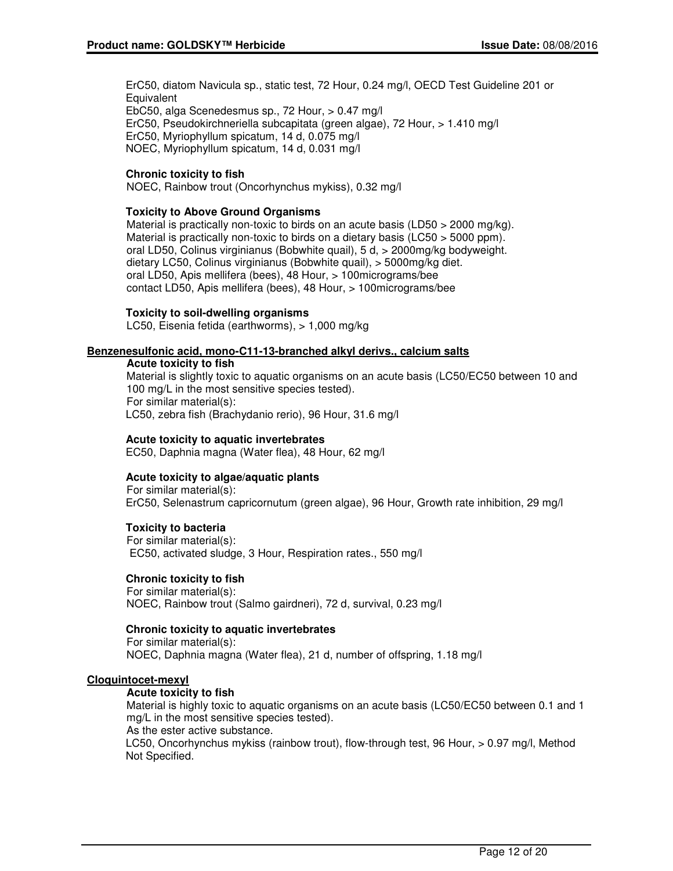ErC50, diatom Navicula sp., static test, 72 Hour, 0.24 mg/l, OECD Test Guideline 201 or **Equivalent** EbC50, alga Scenedesmus sp., 72 Hour, > 0.47 mg/l ErC50, Pseudokirchneriella subcapitata (green algae), 72 Hour, > 1.410 mg/l ErC50, Myriophyllum spicatum, 14 d, 0.075 mg/l NOEC, Myriophyllum spicatum, 14 d, 0.031 mg/l

## **Chronic toxicity to fish**

NOEC, Rainbow trout (Oncorhynchus mykiss), 0.32 mg/l

## **Toxicity to Above Ground Organisms**

Material is practically non-toxic to birds on an acute basis (LD50  $>$  2000 mg/kg). Material is practically non-toxic to birds on a dietary basis (LC50 > 5000 ppm). oral LD50, Colinus virginianus (Bobwhite quail), 5 d, > 2000mg/kg bodyweight. dietary LC50, Colinus virginianus (Bobwhite quail), > 5000mg/kg diet. oral LD50, Apis mellifera (bees), 48 Hour, > 100micrograms/bee contact LD50, Apis mellifera (bees), 48 Hour, > 100micrograms/bee

#### **Toxicity to soil-dwelling organisms**

LC50, Eisenia fetida (earthworms), > 1,000 mg/kg

#### **Benzenesulfonic acid, mono-C11-13-branched alkyl derivs., calcium salts**

#### **Acute toxicity to fish**

Material is slightly toxic to aquatic organisms on an acute basis (LC50/EC50 between 10 and 100 mg/L in the most sensitive species tested). For similar material(s): LC50, zebra fish (Brachydanio rerio), 96 Hour, 31.6 mg/l

## **Acute toxicity to aquatic invertebrates**

EC50, Daphnia magna (Water flea), 48 Hour, 62 mg/l

## **Acute toxicity to algae/aquatic plants**

For similar material(s): ErC50, Selenastrum capricornutum (green algae), 96 Hour, Growth rate inhibition, 29 mg/l

## **Toxicity to bacteria**

For similar material(s): EC50, activated sludge, 3 Hour, Respiration rates., 550 mg/l

## **Chronic toxicity to fish**

For similar material(s): NOEC, Rainbow trout (Salmo gairdneri), 72 d, survival, 0.23 mg/l

## **Chronic toxicity to aquatic invertebrates**

For similar material(s): NOEC, Daphnia magna (Water flea), 21 d, number of offspring, 1.18 mg/l

#### **Cloquintocet-mexyl**

## **Acute toxicity to fish**

Material is highly toxic to aquatic organisms on an acute basis (LC50/EC50 between 0.1 and 1 mg/L in the most sensitive species tested).

As the ester active substance.

LC50, Oncorhynchus mykiss (rainbow trout), flow-through test, 96 Hour, > 0.97 mg/l, Method Not Specified.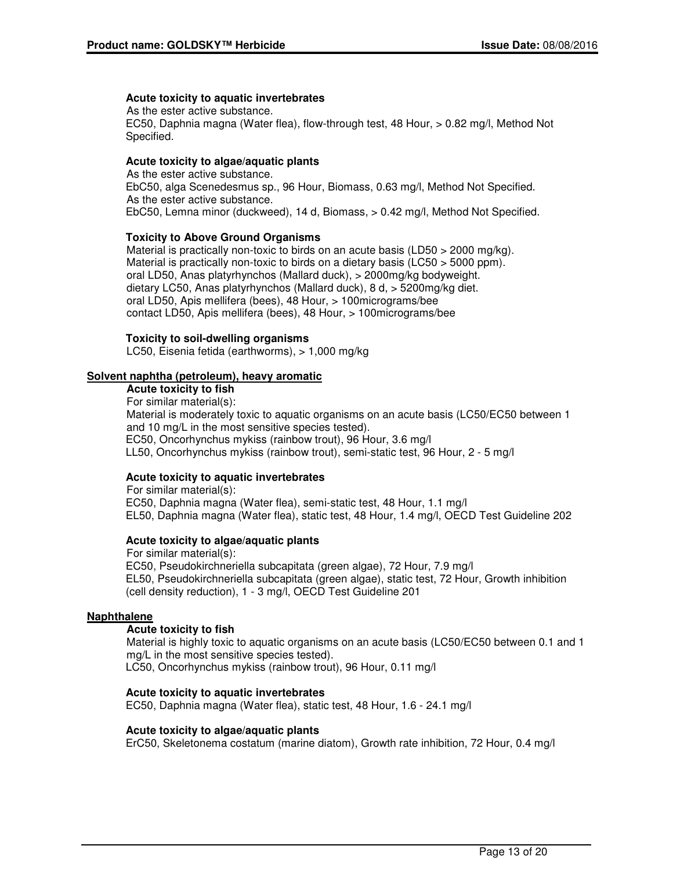## **Acute toxicity to aquatic invertebrates**

As the ester active substance. EC50, Daphnia magna (Water flea), flow-through test, 48 Hour, > 0.82 mg/l, Method Not Specified.

## **Acute toxicity to algae/aquatic plants**

As the ester active substance. EbC50, alga Scenedesmus sp., 96 Hour, Biomass, 0.63 mg/l, Method Not Specified. As the ester active substance. EbC50, Lemna minor (duckweed), 14 d, Biomass, > 0.42 mg/l, Method Not Specified.

## **Toxicity to Above Ground Organisms**

Material is practically non-toxic to birds on an acute basis (LD50  $>$  2000 mg/kg). Material is practically non-toxic to birds on a dietary basis (LC50 > 5000 ppm). oral LD50, Anas platyrhynchos (Mallard duck), > 2000mg/kg bodyweight. dietary LC50, Anas platyrhynchos (Mallard duck), 8 d, > 5200mg/kg diet. oral LD50, Apis mellifera (bees), 48 Hour, > 100micrograms/bee contact LD50, Apis mellifera (bees), 48 Hour, > 100micrograms/bee

## **Toxicity to soil-dwelling organisms**

LC50, Eisenia fetida (earthworms), > 1,000 mg/kg

## **Solvent naphtha (petroleum), heavy aromatic**

### **Acute toxicity to fish**

For similar material(s):

Material is moderately toxic to aquatic organisms on an acute basis (LC50/EC50 between 1 and 10 mg/L in the most sensitive species tested). EC50, Oncorhynchus mykiss (rainbow trout), 96 Hour, 3.6 mg/l LL50, Oncorhynchus mykiss (rainbow trout), semi-static test, 96 Hour, 2 - 5 mg/l

## **Acute toxicity to aquatic invertebrates**

For similar material(s): EC50, Daphnia magna (Water flea), semi-static test, 48 Hour, 1.1 mg/l EL50, Daphnia magna (Water flea), static test, 48 Hour, 1.4 mg/l, OECD Test Guideline 202

## **Acute toxicity to algae/aquatic plants**

For similar material(s): EC50, Pseudokirchneriella subcapitata (green algae), 72 Hour, 7.9 mg/l EL50, Pseudokirchneriella subcapitata (green algae), static test, 72 Hour, Growth inhibition (cell density reduction), 1 - 3 mg/l, OECD Test Guideline 201

## **Naphthalene**

## **Acute toxicity to fish**

Material is highly toxic to aquatic organisms on an acute basis (LC50/EC50 between 0.1 and 1 mg/L in the most sensitive species tested). LC50, Oncorhynchus mykiss (rainbow trout), 96 Hour, 0.11 mg/l

## **Acute toxicity to aquatic invertebrates**

EC50, Daphnia magna (Water flea), static test, 48 Hour, 1.6 - 24.1 mg/l

## **Acute toxicity to algae/aquatic plants**

ErC50, Skeletonema costatum (marine diatom), Growth rate inhibition, 72 Hour, 0.4 mg/l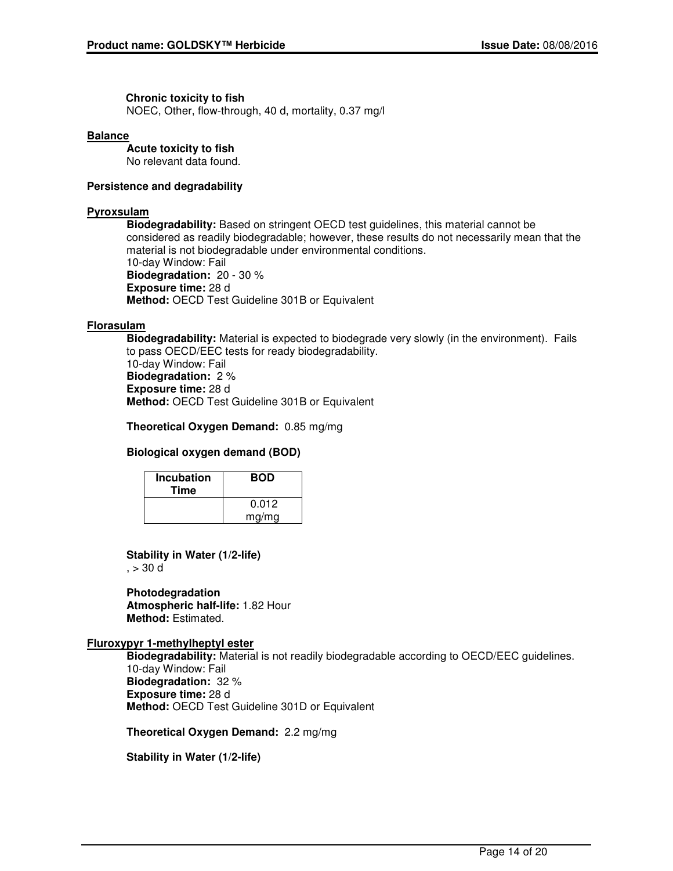## **Chronic toxicity to fish**

NOEC, Other, flow-through, 40 d, mortality, 0.37 mg/l

#### **Balance**

**Acute toxicity to fish** No relevant data found.

## **Persistence and degradability**

## **Pyroxsulam**

**Biodegradability:** Based on stringent OECD test guidelines, this material cannot be considered as readily biodegradable; however, these results do not necessarily mean that the material is not biodegradable under environmental conditions. 10-day Window: Fail **Biodegradation:** 20 - 30 % **Exposure time:** 28 d **Method:** OECD Test Guideline 301B or Equivalent

## **Florasulam**

**Biodegradability:** Material is expected to biodegrade very slowly (in the environment). Fails to pass OECD/EEC tests for ready biodegradability. 10-day Window: Fail **Biodegradation:** 2 % **Exposure time:** 28 d **Method:** OECD Test Guideline 301B or Equivalent

**Theoretical Oxygen Demand:** 0.85 mg/mg

## **Biological oxygen demand (BOD)**

| <b>Incubation</b><br>Time | <b>BOD</b> |
|---------------------------|------------|
|                           | 0.012      |
|                           | mg/mg      |

## **Stability in Water (1/2-life)**

 $, > 30$  d

**Photodegradation Atmospheric half-life:** 1.82 Hour **Method:** Estimated.

## **Fluroxypyr 1-methylheptyl ester**

**Biodegradability:** Material is not readily biodegradable according to OECD/EEC guidelines. 10-day Window: Fail **Biodegradation:** 32 % **Exposure time:** 28 d **Method:** OECD Test Guideline 301D or Equivalent

**Theoretical Oxygen Demand:** 2.2 mg/mg

**Stability in Water (1/2-life)**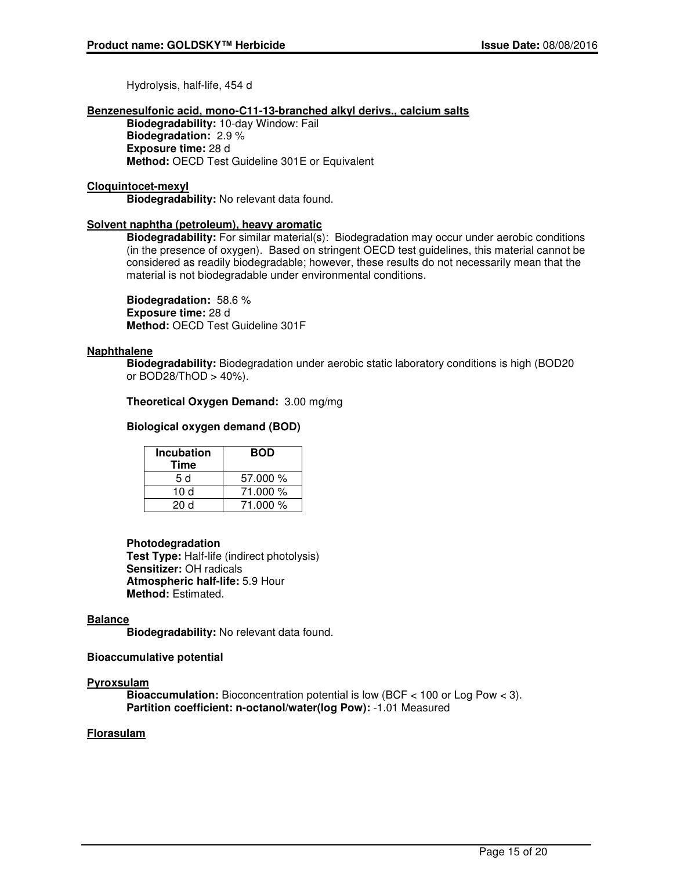Hydrolysis, half-life, 454 d

#### **Benzenesulfonic acid, mono-C11-13-branched alkyl derivs., calcium salts**

**Biodegradability:** 10-day Window: Fail **Biodegradation:** 2.9 % **Exposure time:** 28 d **Method:** OECD Test Guideline 301E or Equivalent

#### **Cloquintocet-mexyl**

**Biodegradability:** No relevant data found.

## **Solvent naphtha (petroleum), heavy aromatic**

**Biodegradability:** For similar material(s): Biodegradation may occur under aerobic conditions (in the presence of oxygen). Based on stringent OECD test guidelines, this material cannot be considered as readily biodegradable; however, these results do not necessarily mean that the material is not biodegradable under environmental conditions.

**Biodegradation:** 58.6 % **Exposure time:** 28 d **Method:** OECD Test Guideline 301F

## **Naphthalene**

**Biodegradability:** Biodegradation under aerobic static laboratory conditions is high (BOD20 or BOD28/ThOD > 40%).

## **Theoretical Oxygen Demand:** 3.00 mg/mg

## **Biological oxygen demand (BOD)**

| <b>Incubation</b><br>Time | <b>BOD</b> |
|---------------------------|------------|
| 5 d                       | 57.000 %   |
| 10 d                      | 71.000 %   |
| 20 d                      | 71.000 %   |

## **Photodegradation**

**Test Type:** Half-life (indirect photolysis) **Sensitizer:** OH radicals **Atmospheric half-life:** 5.9 Hour **Method:** Estimated.

## **Balance**

**Biodegradability:** No relevant data found.

## **Bioaccumulative potential**

## **Pyroxsulam**

**Bioaccumulation:** Bioconcentration potential is low (BCF < 100 or Log Pow < 3). **Partition coefficient: n-octanol/water(log Pow):** -1.01 Measured

## **Florasulam**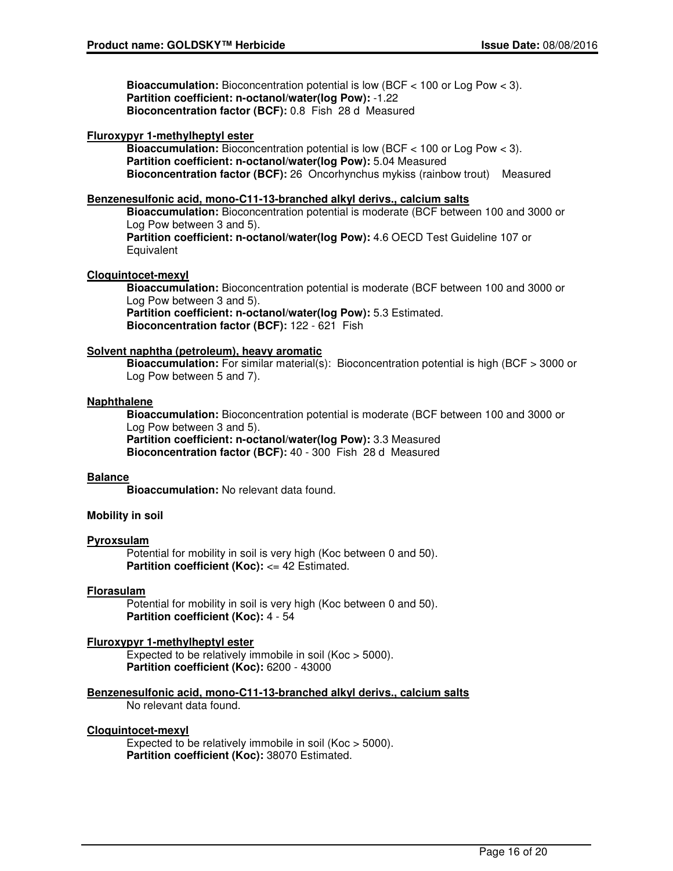**Bioaccumulation:** Bioconcentration potential is low (BCF < 100 or Log Pow < 3). **Partition coefficient: n-octanol/water(log Pow):** -1.22 **Bioconcentration factor (BCF):** 0.8 Fish 28 d Measured

## **Fluroxypyr 1-methylheptyl ester**

**Bioaccumulation:** Bioconcentration potential is low (BCF < 100 or Log Pow < 3). **Partition coefficient: n-octanol/water(log Pow):** 5.04 Measured **Bioconcentration factor (BCF):** 26 Oncorhynchus mykiss (rainbow trout) Measured

## **Benzenesulfonic acid, mono-C11-13-branched alkyl derivs., calcium salts**

**Bioaccumulation:** Bioconcentration potential is moderate (BCF between 100 and 3000 or Log Pow between 3 and 5).

**Partition coefficient: n-octanol/water(log Pow):** 4.6 OECD Test Guideline 107 or **Equivalent** 

## **Cloquintocet-mexyl**

**Bioaccumulation:** Bioconcentration potential is moderate (BCF between 100 and 3000 or Log Pow between 3 and 5).

**Partition coefficient: n-octanol/water(log Pow):** 5.3 Estimated. **Bioconcentration factor (BCF):** 122 - 621 Fish

## **Solvent naphtha (petroleum), heavy aromatic**

**Bioaccumulation:** For similar material(s): Bioconcentration potential is high (BCF > 3000 or Log Pow between 5 and 7).

## **Naphthalene**

**Bioaccumulation:** Bioconcentration potential is moderate (BCF between 100 and 3000 or Log Pow between 3 and 5).

**Partition coefficient: n-octanol/water(log Pow):** 3.3 Measured **Bioconcentration factor (BCF):** 40 - 300 Fish 28 d Measured

## **Balance**

**Bioaccumulation:** No relevant data found.

## **Mobility in soil**

## **Pyroxsulam**

Potential for mobility in soil is very high (Koc between 0 and 50). **Partition coefficient (Koc): <= 42 Estimated.** 

## **Florasulam**

Potential for mobility in soil is very high (Koc between 0 and 50). **Partition coefficient (Koc):** 4 - 54

## **Fluroxypyr 1-methylheptyl ester**

Expected to be relatively immobile in soil (Koc > 5000). **Partition coefficient (Koc):** 6200 - 43000

**Benzenesulfonic acid, mono-C11-13-branched alkyl derivs., calcium salts**

No relevant data found.

## **Cloquintocet-mexyl**

Expected to be relatively immobile in soil (Koc > 5000). **Partition coefficient (Koc):** 38070 Estimated.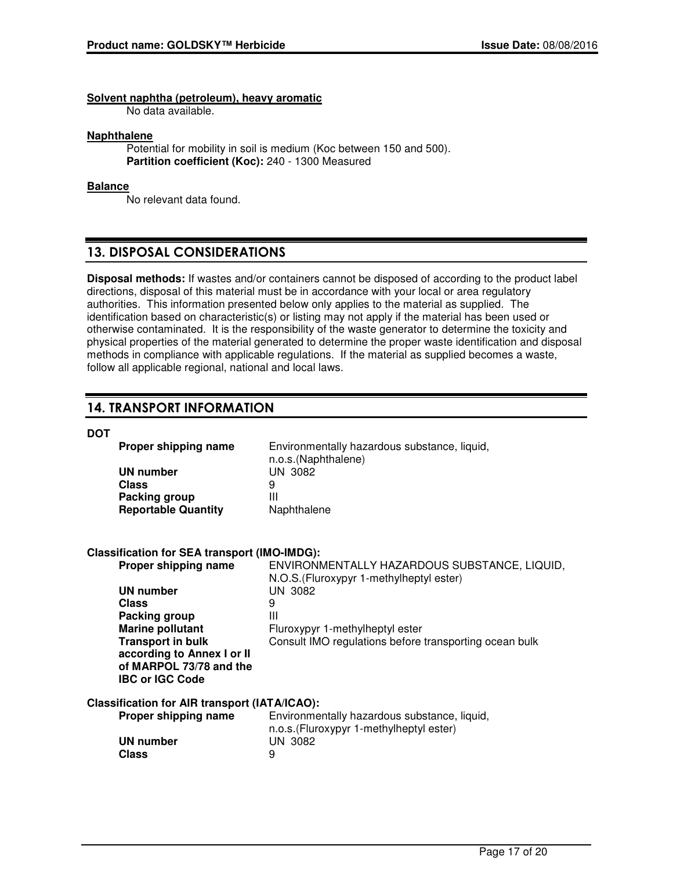**Solvent naphtha (petroleum), heavy aromatic**

No data available.

#### **Naphthalene**

Potential for mobility in soil is medium (Koc between 150 and 500). **Partition coefficient (Koc):** 240 - 1300 Measured

## **Balance**

No relevant data found.

## **13. DISPOSAL CONSIDERATIONS**

**Disposal methods:** If wastes and/or containers cannot be disposed of according to the product label directions, disposal of this material must be in accordance with your local or area regulatory authorities. This information presented below only applies to the material as supplied. The identification based on characteristic(s) or listing may not apply if the material has been used or otherwise contaminated. It is the responsibility of the waste generator to determine the toxicity and physical properties of the material generated to determine the proper waste identification and disposal methods in compliance with applicable regulations. If the material as supplied becomes a waste, follow all applicable regional, national and local laws.

## **14. TRANSPORT INFORMATION**

#### **DOT**

| Proper shipping name       | Environmentally hazardous substance, liquid,<br>n.o.s.(Naphthalene) |
|----------------------------|---------------------------------------------------------------------|
| UN number                  | UN 3082                                                             |
| <b>Class</b>               |                                                                     |
| Packing group              | Ш                                                                   |
| <b>Reportable Quantity</b> | Naphthalene                                                         |

## **Classification for SEA transport (IMO-IMDG):**

| Proper shipping name                          | ENVIRONMENTALLY HAZARDOUS SUBSTANCE, LIQUID,<br>N.O.S. (Fluroxypyr 1-methylheptyl ester) |
|-----------------------------------------------|------------------------------------------------------------------------------------------|
| <b>UN number</b>                              | UN 3082                                                                                  |
| Class                                         | 9                                                                                        |
| Packing group                                 | Ш                                                                                        |
| <b>Marine pollutant</b>                       | Fluroxypyr 1-methylheptyl ester                                                          |
| <b>Transport in bulk</b>                      | Consult IMO regulations before transporting ocean bulk                                   |
| according to Annex I or II                    |                                                                                          |
| of MARPOL 73/78 and the                       |                                                                                          |
| <b>IBC or IGC Code</b>                        |                                                                                          |
| Classification for AIR transport (IATA/ICAO): |                                                                                          |
| Proper shipping name                          | Environmentally hazardous substance, liquid,                                             |
|                                               | n.o.s. (Fluroxypyr 1-methylheptyl ester)                                                 |
| <b>UN number</b>                              | UN 3082                                                                                  |
| <b>Class</b>                                  | 9                                                                                        |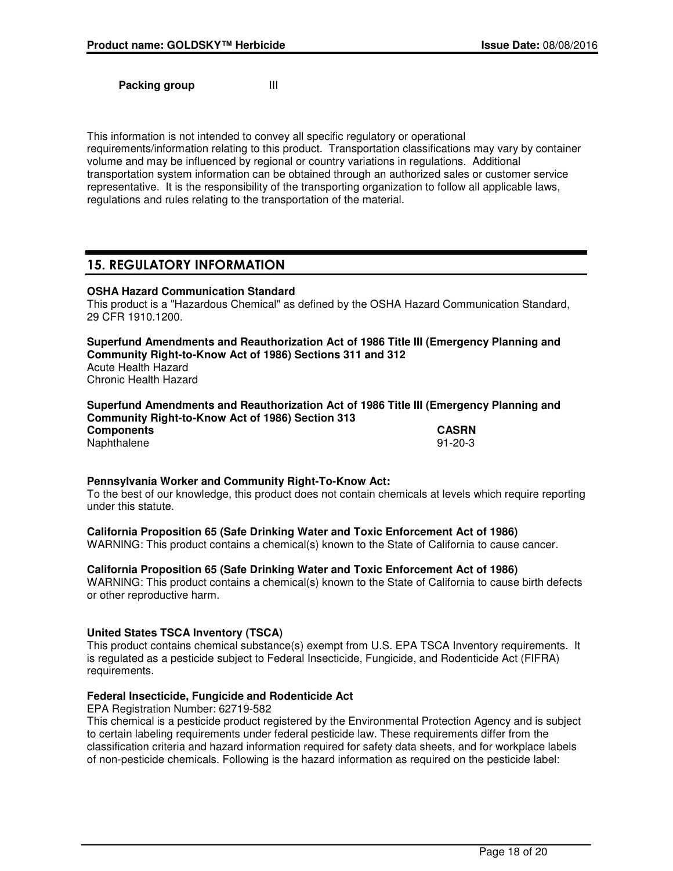**Packing group III** 

This information is not intended to convey all specific regulatory or operational requirements/information relating to this product. Transportation classifications may vary by container volume and may be influenced by regional or country variations in regulations. Additional transportation system information can be obtained through an authorized sales or customer service representative. It is the responsibility of the transporting organization to follow all applicable laws, regulations and rules relating to the transportation of the material.

## **15. REGULATORY INFORMATION**

## **OSHA Hazard Communication Standard**

This product is a "Hazardous Chemical" as defined by the OSHA Hazard Communication Standard, 29 CFR 1910.1200.

**Superfund Amendments and Reauthorization Act of 1986 Title III (Emergency Planning and Community Right-to-Know Act of 1986) Sections 311 and 312** Acute Health Hazard Chronic Health Hazard

**Superfund Amendments and Reauthorization Act of 1986 Title III (Emergency Planning and Community Right-to-Know Act of 1986) Section 313 Components CASRN** Naphthalene 91-20-3

## **Pennsylvania Worker and Community Right-To-Know Act:**

To the best of our knowledge, this product does not contain chemicals at levels which require reporting under this statute.

## **California Proposition 65 (Safe Drinking Water and Toxic Enforcement Act of 1986)**

WARNING: This product contains a chemical(s) known to the State of California to cause cancer.

## **California Proposition 65 (Safe Drinking Water and Toxic Enforcement Act of 1986)**

WARNING: This product contains a chemical(s) known to the State of California to cause birth defects or other reproductive harm.

## **United States TSCA Inventory (TSCA)**

This product contains chemical substance(s) exempt from U.S. EPA TSCA Inventory requirements. It is regulated as a pesticide subject to Federal Insecticide, Fungicide, and Rodenticide Act (FIFRA) requirements.

## **Federal Insecticide, Fungicide and Rodenticide Act**

EPA Registration Number: 62719-582

This chemical is a pesticide product registered by the Environmental Protection Agency and is subject to certain labeling requirements under federal pesticide law. These requirements differ from the classification criteria and hazard information required for safety data sheets, and for workplace labels of non-pesticide chemicals. Following is the hazard information as required on the pesticide label: